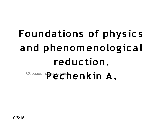# Образец праводек**henkin A. Foundations of phys ic s and phenomenolog ic al reduc tion.**

10/5/15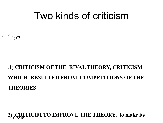#### Two kinds of criticism

 $1<sub>1</sub>$  C!

#### • .**1) CRITICISM OF THE RIVAL THEORY, CRITICISM WHICH RESULTED FROM COMPETITIONS OF THE THEORIES**

#### 10/5/15 • **2) CRITICIM TO IMPROVE THE THEORY, to make its**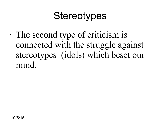#### **Stereotypes**

• The second type of criticism is connected with the struggle against stereotypes (idols) which beset our mind.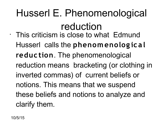Husserl E. Phenomenological reduction • This criticism is close to what Edmund Husserl calls the **phenomenolog ic al reduc tion**. The phenomenological reduction means bracketing (or clothing in inverted commas) of current beliefs or notions. This means that we suspend these beliefs and notions to analyze and clarify them.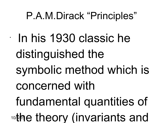### P.A.M.Dirack "Principles"

•

10/5/15 In his 1930 classic he distinguished the symbolic method which is concerned with fundamental quantities of the theory (invariants and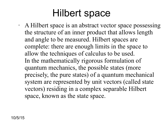#### Hilbert space

• A Hilbert space is an abstract vector space possessing the structure of an inner product that allows length and angle to be measured. Hilbert spaces are complete: there are enough limits in the space to allow the techniques of calculus to be used. In the mathematically rigorous formulation of quantum mechanics, the possible states (more precisely, the pure states) of a quantum mechanical system are represented by unit vectors (called state vectors) residing in a complex separable Hilbert space, known as the state space.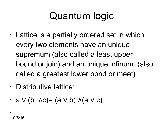## Quantum logic

- Lattice is a partially ordered set in which every two elements have an unique supremum (also called a least upper bound or join) and an unique infinum (also called a greatest lower bond or meet).
- Distributive lattice:
- $\cdot$  a  $\vee$  (b  $\wedge$ c) = (a  $\vee$  b)  $\wedge$  (a  $\vee$  c)

•